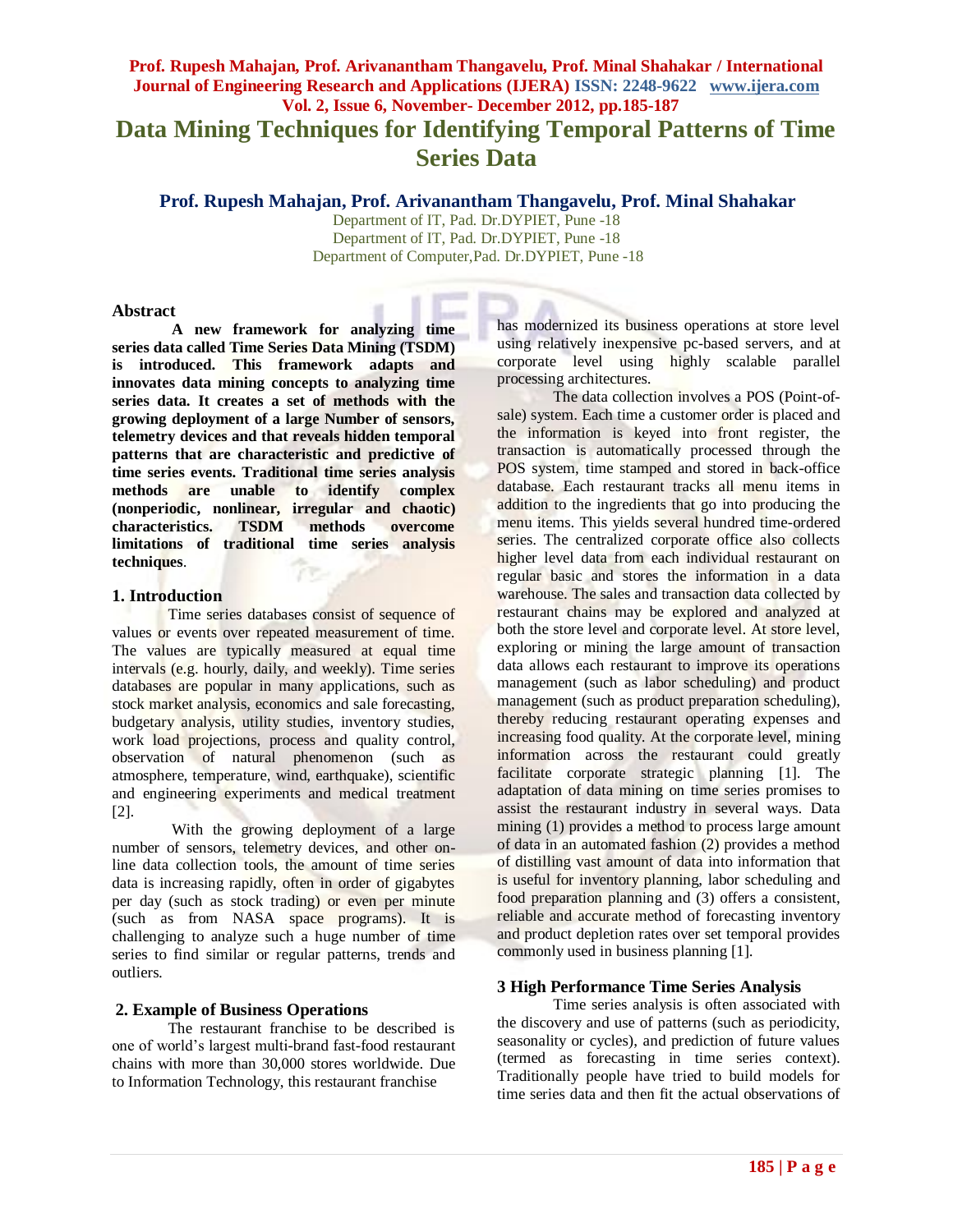# **Prof. Rupesh Mahajan, Prof. Arivanantham Thangavelu, Prof. Minal Shahakar / International Journal of Engineering Research and Applications (IJERA) ISSN: 2248-9622 www.ijera.com Vol. 2, Issue 6, November- December 2012, pp.185-187 Data Mining Techniques for Identifying Temporal Patterns of Time Series Data**

**Prof. Rupesh Mahajan, Prof. Arivanantham Thangavelu, Prof. Minal Shahakar**

Department of IT, Pad. Dr.DYPIET, Pune -18 Department of IT, Pad. Dr.DYPIET, Pune -18 Department of Computer,Pad. Dr.DYPIET, Pune -18

## **Abstract**

**A new framework for analyzing time series data called Time Series Data Mining (TSDM) is introduced. This framework adapts and innovates data mining concepts to analyzing time series data. It creates a set of methods with the growing deployment of a large Number of sensors, telemetry devices and that reveals hidden temporal patterns that are characteristic and predictive of time series events. Traditional time series analysis methods are unable to identify complex (nonperiodic, nonlinear, irregular and chaotic) characteristics. TSDM methods overcome limitations of traditional time series analysis techniques**. 7e.

## **1. Introduction**

Time series databases consist of sequence of values or events over repeated measurement of time. The values are typically measured at equal time intervals (e.g. hourly, daily, and weekly). Time series databases are popular in many applications, such as stock market analysis, economics and sale forecasting, budgetary analysis, utility studies, inventory studies, work load projections, process and quality control, observation of natural phenomenon (such as atmosphere, temperature, wind, earthquake), scientific and engineering experiments and medical treatment [2].

With the growing deployment of a large number of sensors, telemetry devices, and other online data collection tools, the amount of time series data is increasing rapidly, often in order of gigabytes per day (such as stock trading) or even per minute (such as from NASA space programs). It is challenging to analyze such a huge number of time series to find similar or regular patterns, trends and outliers.

# **2. Example of Business Operations**

The restaurant franchise to be described is one of world's largest multi-brand fast-food restaurant chains with more than 30,000 stores worldwide. Due to Information Technology, this restaurant franchise

has modernized its business operations at store level using relatively inexpensive pc-based servers, and at corporate level using highly scalable parallel processing architectures.

The data collection involves a POS (Point-ofsale) system. Each time a customer order is placed and the information is keyed into front register, the transaction is automatically processed through the POS system, time stamped and stored in back-office database. Each restaurant tracks all menu items in addition to the ingredients that go into producing the menu items. This yields several hundred time-ordered series. The centralized corporate office also collects higher level data from each individual restaurant on regular basic and stores the information in a data warehouse. The sales and transaction data collected by restaurant chains may be explored and analyzed at both the store level and corporate level. At store level, exploring or mining the large amount of transaction data allows each restaurant to improve its operations management (such as labor scheduling) and product management (such as product preparation scheduling), thereby reducing restaurant operating expenses and increasing food quality. At the corporate level, mining information across the restaurant could greatly facilitate corporate strategic planning [1]. The adaptation of data mining on time series promises to assist the restaurant industry in several ways. Data mining (1) provides a method to process large amount of data in an automated fashion (2) provides a method of distilling vast amount of data into information that is useful for inventory planning, labor scheduling and food preparation planning and (3) offers a consistent, reliable and accurate method of forecasting inventory and product depletion rates over set temporal provides commonly used in business planning [1].

## **3 High Performance Time Series Analysis**

Time series analysis is often associated with the discovery and use of patterns (such as periodicity, seasonality or cycles), and prediction of future values (termed as forecasting in time series context). Traditionally people have tried to build models for time series data and then fit the actual observations of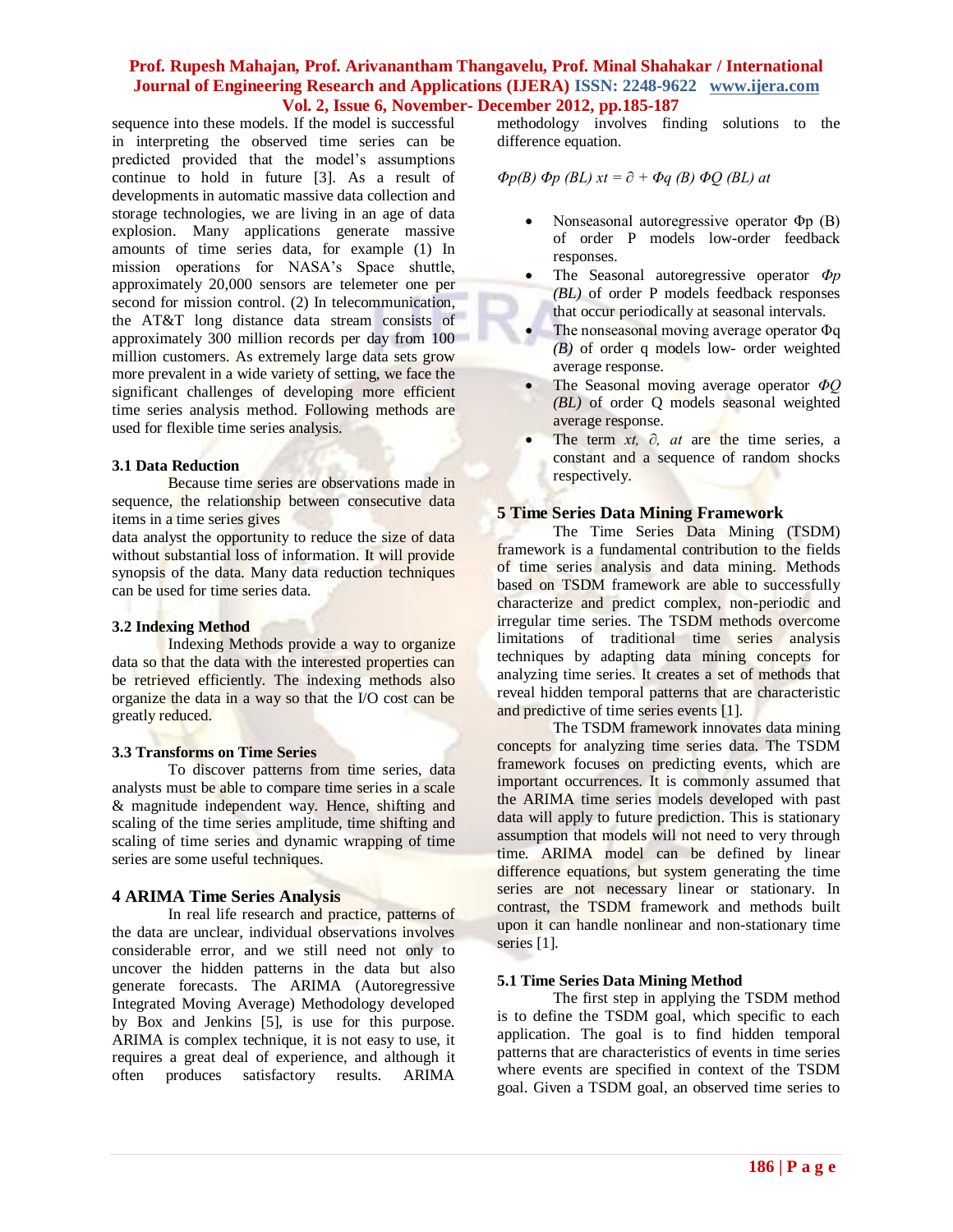## **Prof. Rupesh Mahajan, Prof. Arivanantham Thangavelu, Prof. Minal Shahakar / International Journal of Engineering Research and Applications (IJERA) ISSN: 2248-9622 www.ijera.com Vol. 2, Issue 6, November- December 2012, pp.185-187**

sequence into these models. If the model is successful in interpreting the observed time series can be predicted provided that the model's assumptions continue to hold in future [3]. As a result of developments in automatic massive data collection and storage technologies, we are living in an age of data explosion. Many applications generate massive amounts of time series data, for example (1) In mission operations for NASA's Space shuttle, approximately 20,000 sensors are telemeter one per second for mission control. (2) In telecommunication, the AT&T long distance data stream consists of approximately 300 million records per day from 100 million customers. As extremely large data sets grow more prevalent in a wide variety of setting, we face the significant challenges of developing more efficient time series analysis method. Following methods are used for flexible time series analysis.

#### **3.1 Data Reduction**

Because time series are observations made in sequence, the relationship between consecutive data items in a time series gives

data analyst the opportunity to reduce the size of data without substantial loss of information. It will provide synopsis of the data. Many data reduction techniques can be used for time series data.

## **3.2 Indexing Method**

Indexing Methods provide a way to organize data so that the data with the interested properties can be retrieved efficiently. The indexing methods also organize the data in a way so that the I/O cost can be greatly reduced.

## **3.3 Transforms on Time Series**

To discover patterns from time series, data analysts must be able to compare time series in a scale & magnitude independent way. Hence, shifting and scaling of the time series amplitude, time shifting and scaling of time series and dynamic wrapping of time series are some useful techniques.

## **4 ARIMA Time Series Analysis**

In real life research and practice, patterns of the data are unclear, individual observations involves considerable error, and we still need not only to uncover the hidden patterns in the data but also generate forecasts. The ARIMA (Autoregressive Integrated Moving Average) Methodology developed by Box and Jenkins [5], is use for this purpose. ARIMA is complex technique, it is not easy to use, it requires a great deal of experience, and although it often produces satisfactory results. ARIMA

methodology involves finding solutions to the difference equation.

$$
\Phi p(B) \Phi p(BL) \; xt = \partial + \Phi q(B) \Phi Q(BL) \; at
$$

- Nonseasonal autoregressive operator Φp (B) of order P models low-order feedback responses.
- The Seasonal autoregressive operator *Φp (BL)* of order P models feedback responses that occur periodically at seasonal intervals.
- The nonseasonal moving average operator Φq *(B)* of order q models low- order weighted average response.
- The Seasonal moving average operator *ΦQ (BL)* of order Q models seasonal weighted average response.
- The term *xt, ∂, at* are the time series, a constant and a sequence of random shocks respectively.

# **5 Time Series Data Mining Framework**

The Time Series Data Mining (TSDM) framework is a fundamental contribution to the fields of time series analysis and data mining. Methods based on TSDM framework are able to successfully characterize and predict complex, non-periodic and irregular time series. The TSDM methods overcome limitations of traditional time series analysis techniques by adapting data mining concepts for analyzing time series. It creates a set of methods that reveal hidden temporal patterns that are characteristic and predictive of time series events [1].

The TSDM framework innovates data mining concepts for analyzing time series data. The TSDM framework focuses on predicting events, which are important occurrences. It is commonly assumed that the ARIMA time series models developed with past data will apply to future prediction. This is stationary assumption that models will not need to very through time. ARIMA model can be defined by linear difference equations, but system generating the time series are not necessary linear or stationary. In contrast, the TSDM framework and methods built upon it can handle nonlinear and non-stationary time series [1].

## **5.1 Time Series Data Mining Method**

The first step in applying the TSDM method is to define the TSDM goal, which specific to each application. The goal is to find hidden temporal patterns that are characteristics of events in time series where events are specified in context of the TSDM goal. Given a TSDM goal, an observed time series to